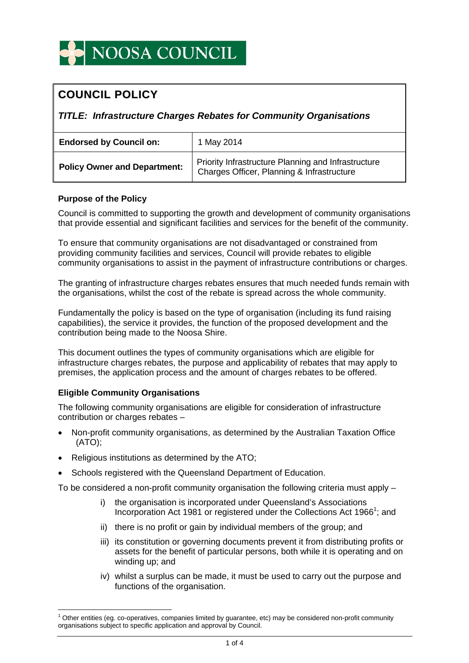# **COUNCIL POLICY**

*TITLE: Infrastructure Charges Rebates for Community Organisations* 

| <b>Endorsed by Council on:</b>      | 1 May 2014                                                                                        |
|-------------------------------------|---------------------------------------------------------------------------------------------------|
| <b>Policy Owner and Department:</b> | Priority Infrastructure Planning and Infrastructure<br>Charges Officer, Planning & Infrastructure |

## **Purpose of the Policy**

Council is committed to supporting the growth and development of community organisations that provide essential and significant facilities and services for the benefit of the community.

To ensure that community organisations are not disadvantaged or constrained from providing community facilities and services, Council will provide rebates to eligible community organisations to assist in the payment of infrastructure contributions or charges.

The granting of infrastructure charges rebates ensures that much needed funds remain with the organisations, whilst the cost of the rebate is spread across the whole community.

Fundamentally the policy is based on the type of organisation (including its fund raising capabilities), the service it provides, the function of the proposed development and the contribution being made to the Noosa Shire.

This document outlines the types of community organisations which are eligible for infrastructure charges rebates, the purpose and applicability of rebates that may apply to premises, the application process and the amount of charges rebates to be offered.

## **Eligible Community Organisations**

 $\overline{a}$ 

The following community organisations are eligible for consideration of infrastructure contribution or charges rebates –

- Non-profit community organisations, as determined by the Australian Taxation Office (ATO);
- Religious institutions as determined by the ATO:
- Schools registered with the Queensland Department of Education.

To be considered a non-profit community organisation the following criteria must apply –

- i) the organisation is incorporated under Queensland's Associations Incorporation Act 1981 or registered under the Collections Act 1966<sup>1</sup>; and
- ii) there is no profit or gain by individual members of the group; and
- iii) its constitution or governing documents prevent it from distributing profits or assets for the benefit of particular persons, both while it is operating and on winding up; and
- iv) whilst a surplus can be made, it must be used to carry out the purpose and functions of the organisation.

<sup>1</sup> Other entities (eg. co-operatives, companies limited by guarantee, etc) may be considered non-profit community organisations subject to specific application and approval by Council.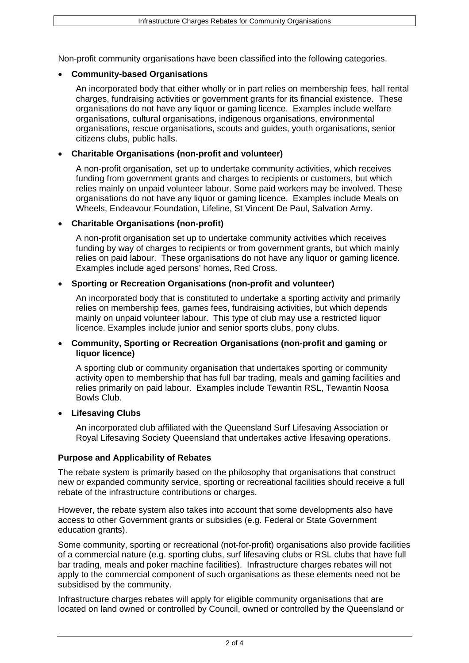Non-profit community organisations have been classified into the following categories.

## **Community-based Organisations**

An incorporated body that either wholly or in part relies on membership fees, hall rental charges, fundraising activities or government grants for its financial existence. These organisations do not have any liquor or gaming licence. Examples include welfare organisations, cultural organisations, indigenous organisations, environmental organisations, rescue organisations, scouts and guides, youth organisations, senior citizens clubs, public halls.

## **Charitable Organisations (non-profit and volunteer)**

A non-profit organisation, set up to undertake community activities, which receives funding from government grants and charges to recipients or customers, but which relies mainly on unpaid volunteer labour. Some paid workers may be involved. These organisations do not have any liquor or gaming licence. Examples include Meals on Wheels, Endeavour Foundation, Lifeline, St Vincent De Paul, Salvation Army.

## **Charitable Organisations (non-profit)**

A non-profit organisation set up to undertake community activities which receives funding by way of charges to recipients or from government grants, but which mainly relies on paid labour. These organisations do not have any liquor or gaming licence. Examples include aged persons' homes, Red Cross.

## **Sporting or Recreation Organisations (non-profit and volunteer)**

An incorporated body that is constituted to undertake a sporting activity and primarily relies on membership fees, games fees, fundraising activities, but which depends mainly on unpaid volunteer labour. This type of club may use a restricted liquor licence. Examples include junior and senior sports clubs, pony clubs.

#### **Community, Sporting or Recreation Organisations (non-profit and gaming or liquor licence)**

A sporting club or community organisation that undertakes sporting or community activity open to membership that has full bar trading, meals and gaming facilities and relies primarily on paid labour. Examples include Tewantin RSL, Tewantin Noosa Bowls Club.

#### **Lifesaving Clubs**

An incorporated club affiliated with the Queensland Surf Lifesaving Association or Royal Lifesaving Society Queensland that undertakes active lifesaving operations.

#### **Purpose and Applicability of Rebates**

The rebate system is primarily based on the philosophy that organisations that construct new or expanded community service, sporting or recreational facilities should receive a full rebate of the infrastructure contributions or charges.

However, the rebate system also takes into account that some developments also have access to other Government grants or subsidies (e.g. Federal or State Government education grants).

Some community, sporting or recreational (not-for-profit) organisations also provide facilities of a commercial nature (e.g. sporting clubs, surf lifesaving clubs or RSL clubs that have full bar trading, meals and poker machine facilities). Infrastructure charges rebates will not apply to the commercial component of such organisations as these elements need not be subsidised by the community.

Infrastructure charges rebates will apply for eligible community organisations that are located on land owned or controlled by Council, owned or controlled by the Queensland or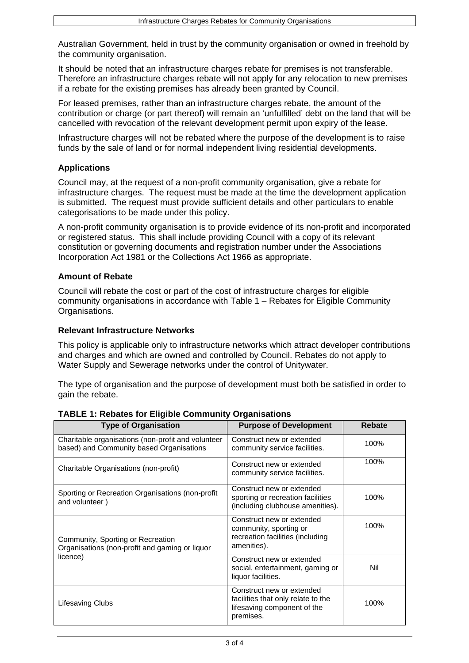Australian Government, held in trust by the community organisation or owned in freehold by the community organisation.

It should be noted that an infrastructure charges rebate for premises is not transferable. Therefore an infrastructure charges rebate will not apply for any relocation to new premises if a rebate for the existing premises has already been granted by Council.

For leased premises, rather than an infrastructure charges rebate, the amount of the contribution or charge (or part thereof) will remain an 'unfulfilled' debt on the land that will be cancelled with revocation of the relevant development permit upon expiry of the lease.

Infrastructure charges will not be rebated where the purpose of the development is to raise funds by the sale of land or for normal independent living residential developments.

## **Applications**

Council may, at the request of a non-profit community organisation, give a rebate for infrastructure charges. The request must be made at the time the development application is submitted. The request must provide sufficient details and other particulars to enable categorisations to be made under this policy.

A non-profit community organisation is to provide evidence of its non-profit and incorporated or registered status. This shall include providing Council with a copy of its relevant constitution or governing documents and registration number under the Associations Incorporation Act 1981 or the Collections Act 1966 as appropriate.

## **Amount of Rebate**

Council will rebate the cost or part of the cost of infrastructure charges for eligible community organisations in accordance with Table 1 – Rebates for Eligible Community Organisations.

#### **Relevant Infrastructure Networks**

This policy is applicable only to infrastructure networks which attract developer contributions and charges and which are owned and controlled by Council. Rebates do not apply to Water Supply and Sewerage networks under the control of Unitywater.

The type of organisation and the purpose of development must both be satisfied in order to gain the rebate.

| <b>Type of Organisation</b>                                                                    | <b>Purpose of Development</b>                                                                               | <b>Rebate</b> |
|------------------------------------------------------------------------------------------------|-------------------------------------------------------------------------------------------------------------|---------------|
| Charitable organisations (non-profit and volunteer<br>based) and Community based Organisations | Construct new or extended<br>community service facilities.                                                  | 100%          |
| Charitable Organisations (non-profit)                                                          | Construct new or extended<br>community service facilities.                                                  | 100%          |
| Sporting or Recreation Organisations (non-profit<br>and volunteer)                             | Construct new or extended<br>sporting or recreation facilities<br>(including clubhouse amenities).          | 100%          |
| Community, Sporting or Recreation<br>Organisations (non-profit and gaming or liquor            | Construct new or extended<br>community, sporting or<br>recreation facilities (including<br>amenities).      | 100%          |
| licence)                                                                                       | Construct new or extended<br>social, entertainment, gaming or<br>liquor facilities.                         | Nil           |
| Lifesaving Clubs                                                                               | Construct new or extended<br>facilities that only relate to the<br>lifesaving component of the<br>premises. | 100%          |

## **TABLE 1: Rebates for Eligible Community Organisations**